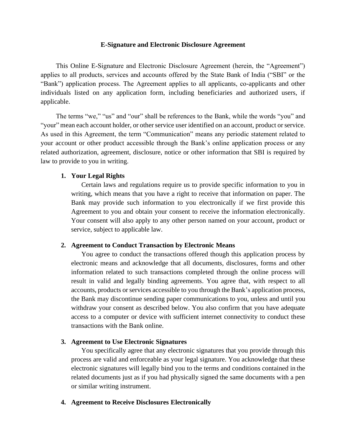### **E-Signature and Electronic Disclosure Agreement**

This Online E-Signature and Electronic Disclosure Agreement (herein, the "Agreement") applies to all products, services and accounts offered by the State Bank of India ("SBI" or the "Bank") application process. The Agreement applies to all applicants, co-applicants and other individuals listed on any application form, including beneficiaries and authorized users, if applicable.

The terms "we," "us" and "our" shall be references to the Bank, while the words "you" and "your" mean each account holder, or other service user identified on an account, product or service. As used in this Agreement, the term "Communication" means any periodic statement related to your account or other product accessible through the Bank's online application process or any related authorization, agreement, disclosure, notice or other information that SBI is required by law to provide to you in writing.

# **1. Your Legal Rights**

Certain laws and regulations require us to provide specific information to you in writing, which means that you have a right to receive that information on paper. The Bank may provide such information to you electronically if we first provide this Agreement to you and obtain your consent to receive the information electronically. Your consent will also apply to any other person named on your account, product or service, subject to applicable law.

## **2. Agreement to Conduct Transaction by Electronic Means**

You agree to conduct the transactions offered though this application process by electronic means and acknowledge that all documents, disclosures, forms and other information related to such transactions completed through the online process will result in valid and legally binding agreements. You agree that, with respect to all accounts, products or services accessible to you through the Bank's application process, the Bank may discontinue sending paper communications to you, unless and until you withdraw your consent as described below. You also confirm that you have adequate access to a computer or device with sufficient internet connectivity to conduct these transactions with the Bank online.

# **3. Agreement to Use Electronic Signatures**

You specifically agree that any electronic signatures that you provide through this process are valid and enforceable as your legal signature. You acknowledge that these electronic signatures will legally bind you to the terms and conditions contained in the related documents just as if you had physically signed the same documents with a pen or similar writing instrument.

## **4. Agreement to Receive Disclosures Electronically**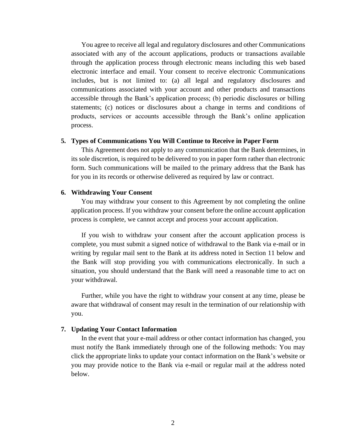You agree to receive all legal and regulatory disclosures and other Communications associated with any of the account applications, products or transactions available through the application process through electronic means including this web based electronic interface and email. Your consent to receive electronic Communications includes, but is not limited to: (a) all legal and regulatory disclosures and communications associated with your account and other products and transactions accessible through the Bank's application process; (b) periodic disclosures or billing statements; (c) notices or disclosures about a change in terms and conditions of products, services or accounts accessible through the Bank's online application process.

### **5. Types of Communications You Will Continue to Receive in Paper Form**

This Agreement does not apply to any communication that the Bank determines, in its sole discretion, is required to be delivered to you in paper form rather than electronic form. Such communications will be mailed to the primary address that the Bank has for you in its records or otherwise delivered as required by law or contract.

### **6. Withdrawing Your Consent**

You may withdraw your consent to this Agreement by not completing the online application process. If you withdraw your consent before the online account application process is complete, we cannot accept and process your account application.

If you wish to withdraw your consent after the account application process is complete, you must submit a signed notice of withdrawal to the Bank via e-mail or in writing by regular mail sent to the Bank at its address noted in Section 11 below and the Bank will stop providing you with communications electronically. In such a situation, you should understand that the Bank will need a reasonable time to act on your withdrawal.

Further, while you have the right to withdraw your consent at any time, please be aware that withdrawal of consent may result in the termination of our relationship with you.

#### **7. Updating Your Contact Information**

In the event that your e-mail address or other contact information has changed, you must notify the Bank immediately through one of the following methods: You may click the appropriate links to update your contact information on the Bank's website or you may provide notice to the Bank via e-mail or regular mail at the address noted below.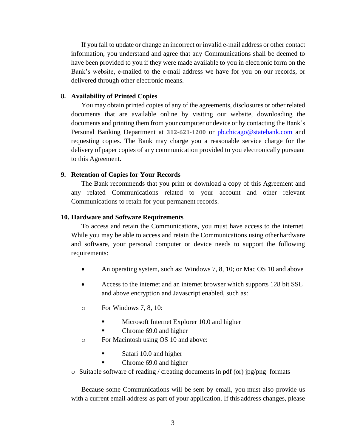If you fail to update or change an incorrect or invalid e-mail address or other contact information, you understand and agree that any Communications shall be deemed to have been provided to you if they were made available to you in electronic form on the Bank's website, e-mailed to the e-mail address we have for you on our records, or delivered through other electronic means.

### **8. Availability of Printed Copies**

You may obtain printed copies of any of the agreements, disclosures or other related documents that are available online by visiting our website, downloading the documents and printing them from your computer or device or by contacting the Bank's Personal Banking Department at **312-621-1200** or [pb.chicago@statebank.com](mailto:pb.chicago@statebank.com) and requesting copies. The Bank may charge you a reasonable service charge for the delivery of paper copies of any communication provided to you electronically pursuant to this Agreement.

### **9. Retention of Copies for Your Records**

The Bank recommends that you print or download a copy of this Agreement and any related Communications related to your account and other relevant Communications to retain for your permanent records.

#### **10. Hardware and Software Requirements**

To access and retain the Communications, you must have access to the internet. While you may be able to access and retain the Communications using otherhardware and software, your personal computer or device needs to support the following requirements:

- An operating system, such as: Windows 7, 8, 10; or Mac OS 10 and above
- Access to the internet and an internet browser which supports 128 bit SSL and above encryption and Javascript enabled, such as:
- o For Windows 7, 8, 10:
	- Microsoft Internet Explorer 10.0 and higher
	- Chrome 69.0 and higher
- o For Macintosh using OS 10 and above:
	- Safari 10.0 and higher
	- Chrome 69.0 and higher
- o Suitable software of reading / creating documents in pdf (or) jpg/png formats

Because some Communications will be sent by email, you must also provide us with a current email address as part of your application. If this address changes, please